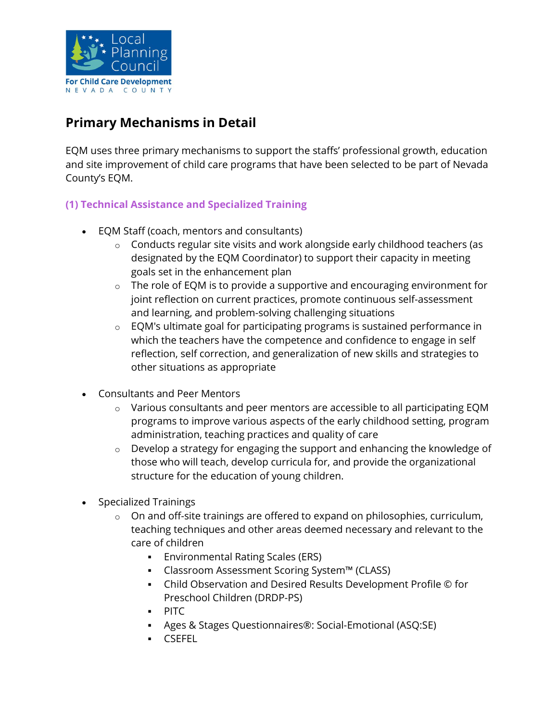

# Primary Mechanisms in Detail

EQM uses three primary mechanisms to support the staffs' professional growth, education and site improvement of child care programs that have been selected to be part of Nevada County's EQM.

# (1) Technical Assistance and Specialized Training

- EQM Staff (coach, mentors and consultants)
	- o Conducts regular site visits and work alongside early childhood teachers (as designated by the EQM Coordinator) to support their capacity in meeting goals set in the enhancement plan
	- $\circ$  The role of EQM is to provide a supportive and encouraging environment for joint reflection on current practices, promote continuous self-assessment and learning, and problem-solving challenging situations
	- o EQM's ultimate goal for participating programs is sustained performance in which the teachers have the competence and confidence to engage in self reflection, self correction, and generalization of new skills and strategies to other situations as appropriate
- Consultants and Peer Mentors
	- $\circ$  Various consultants and peer mentors are accessible to all participating EQM programs to improve various aspects of the early childhood setting, program administration, teaching practices and quality of care
	- o Develop a strategy for engaging the support and enhancing the knowledge of those who will teach, develop curricula for, and provide the organizational structure for the education of young children.
- Specialized Trainings
	- o On and off-site trainings are offered to expand on philosophies, curriculum, teaching techniques and other areas deemed necessary and relevant to the care of children
		- Environmental Rating Scales (ERS)
		- Classroom Assessment Scoring System™ (CLASS)
		- Child Observation and Desired Results Development Profile © for Preschool Children (DRDP-PS)
		- **PITC**
		- Ages & Stages Questionnaires®: Social-Emotional (ASQ:SE)
		- CSEFEL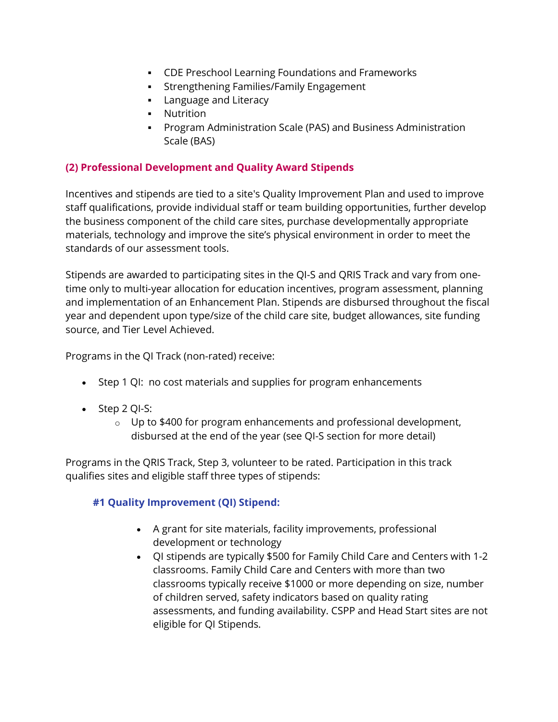- CDE Preschool Learning Foundations and Frameworks
- Strengthening Families/Family Engagement
- **Language and Literacy**
- **-** Nutrition
- Program Administration Scale (PAS) and Business Administration Scale (BAS)

#### (2) Professional Development and Quality Award Stipends

Incentives and stipends are tied to a site's Quality Improvement Plan and used to improve staff qualifications, provide individual staff or team building opportunities, further develop the business component of the child care sites, purchase developmentally appropriate materials, technology and improve the site's physical environment in order to meet the standards of our assessment tools.

Stipends are awarded to participating sites in the QI-S and QRIS Track and vary from onetime only to multi-year allocation for education incentives, program assessment, planning and implementation of an Enhancement Plan. Stipends are disbursed throughout the fiscal year and dependent upon type/size of the child care site, budget allowances, site funding source, and Tier Level Achieved.

Programs in the QI Track (non-rated) receive:

- Step 1 QI: no cost materials and supplies for program enhancements
- Step 2 QI-S:
	- $\circ$  Up to \$400 for program enhancements and professional development, disbursed at the end of the year (see QI-S section for more detail)

Programs in the QRIS Track, Step 3, volunteer to be rated. Participation in this track qualifies sites and eligible staff three types of stipends:

#### #1 Quality Improvement (QI) Stipend:

- A grant for site materials, facility improvements, professional development or technology
- QI stipends are typically \$500 for Family Child Care and Centers with 1-2 classrooms. Family Child Care and Centers with more than two classrooms typically receive \$1000 or more depending on size, number of children served, safety indicators based on quality rating assessments, and funding availability. CSPP and Head Start sites are not eligible for QI Stipends.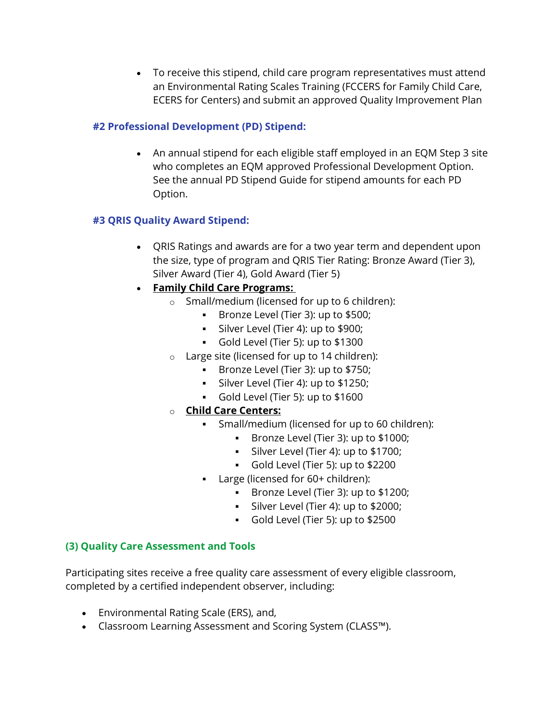To receive this stipend, child care program representatives must attend an Environmental Rating Scales Training (FCCERS for Family Child Care, ECERS for Centers) and submit an approved Quality Improvement Plan

#### #2 Professional Development (PD) Stipend:

 An annual stipend for each eligible staff employed in an EQM Step 3 site who completes an EQM approved Professional Development Option. See the annual PD Stipend Guide for stipend amounts for each PD Option.

# #3 QRIS Quality Award Stipend:

 QRIS Ratings and awards are for a two year term and dependent upon the size, type of program and QRIS Tier Rating: Bronze Award (Tier 3), Silver Award (Tier 4), Gold Award (Tier 5)

# Family Child Care Programs:

- o Small/medium (licensed for up to 6 children):
	- Bronze Level (Tier 3): up to \$500;
	- Silver Level (Tier 4): up to \$900;
	- Gold Level (Tier 5): up to \$1300
- o Large site (licensed for up to 14 children):
	- Bronze Level (Tier 3): up to \$750;
	- Silver Level (Tier 4): up to \$1250;
	- Gold Level (Tier 5): up to \$1600
- o Child Care Centers:
	- Small/medium (licensed for up to 60 children):
		- Bronze Level (Tier 3): up to \$1000;
		- Silver Level (Tier 4): up to \$1700;
		- Gold Level (Tier 5): up to \$2200
	- Large (licensed for 60+ children):
		- Bronze Level (Tier 3): up to \$1200;
		- Silver Level (Tier 4): up to \$2000;
		- Gold Level (Tier 5): up to \$2500

# (3) Quality Care Assessment and Tools

Participating sites receive a free quality care assessment of every eligible classroom, completed by a certified independent observer, including:

- Environmental Rating Scale (ERS), and,
- Classroom Learning Assessment and Scoring System (CLASS™).